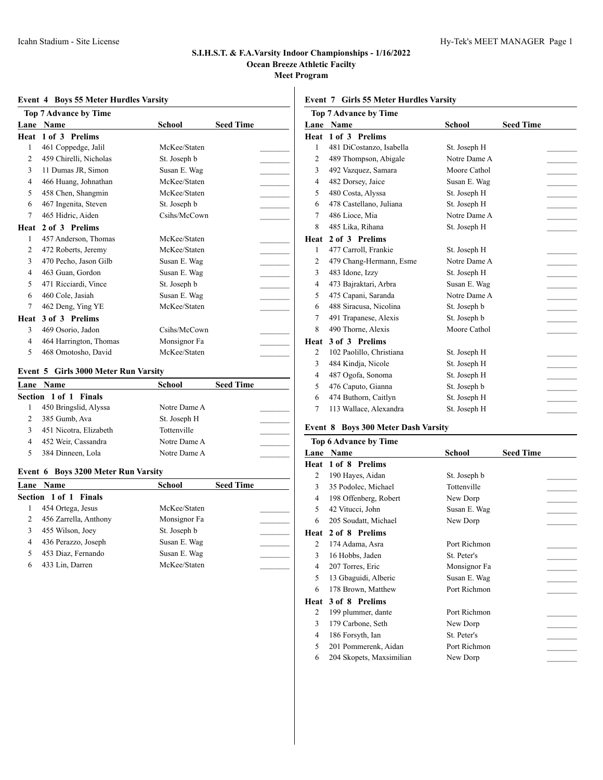# **Event 4 Boys 55 Meter Hurdles Varsity**

|                | <b>Top 7 Advance by Time</b> |              |                  |  |
|----------------|------------------------------|--------------|------------------|--|
| Lane           | <b>Name</b>                  | School       | <b>Seed Time</b> |  |
| Heat           | 1 of 3 Prelims               |              |                  |  |
| 1              | 461 Coppedge, Jalil          | McKee/Staten |                  |  |
| $\overline{c}$ | 459 Chirelli, Nicholas       | St. Joseph b |                  |  |
| 3              | 11 Dumas JR, Simon           | Susan E. Wag |                  |  |
| 4              | 466 Huang, Johnathan         | McKee/Staten |                  |  |
| 5              | 458 Chen, Shangmin           | McKee/Staten |                  |  |
| 6              | 467 Ingenita, Steven         | St. Joseph b |                  |  |
| 7              | 465 Hidric, Aiden            | Csihs/McCown |                  |  |
| Heat           | 2 of 3 Prelims               |              |                  |  |
| 1              | 457 Anderson, Thomas         | McKee/Staten |                  |  |
| 2              | 472 Roberts, Jeremy          | McKee/Staten |                  |  |
| 3              | 470 Pecho, Jason Gilb        | Susan E. Wag |                  |  |
| 4              | 463 Guan, Gordon             | Susan E. Wag |                  |  |
| 5              | 471 Ricciardi, Vince         | St. Joseph b |                  |  |
| 6              | 460 Cole, Jasiah             | Susan E. Wag |                  |  |
| 7              | 462 Deng, Ying YE            | McKee/Staten |                  |  |
| Heat           | 3 of 3 Prelims               |              |                  |  |
| 3              | 469 Osorio, Jadon            | Csihs/McCown |                  |  |
| 4              | 464 Harrington, Thomas       | Monsignor Fa |                  |  |
| 5              | 468 Omotosho, David          | McKee/Staten |                  |  |

#### **Event 5 Girls 3000 Meter Run Varsity**

|   | Lane Name              | School       | <b>Seed Time</b> |  |
|---|------------------------|--------------|------------------|--|
|   | Section 1 of 1 Finals  |              |                  |  |
|   | 450 Bringslid, Alyssa  | Notre Dame A |                  |  |
|   | 385 Gumb, Ava          | St. Joseph H |                  |  |
| 3 | 451 Nicotra, Elizabeth | Tottenville  |                  |  |
| 4 | 452 Weir, Cassandra    | Notre Dame A |                  |  |
|   | 384 Dinneen, Lola      | Notre Dame A |                  |  |

# **Event 6 Boys 3200 Meter Run Varsity**

|   | <b>Lane</b> Name             | <b>School</b> | <b>Seed Time</b> |
|---|------------------------------|---------------|------------------|
|   | <b>Section 1 of 1 Finals</b> |               |                  |
|   | 454 Ortega, Jesus            | McKee/Staten  |                  |
|   | 456 Zarrella, Anthony        | Monsignor Fa  |                  |
|   | 455 Wilson, Joey             | St. Joseph b  |                  |
| 4 | 436 Perazzo, Joseph          | Susan E. Wag  |                  |
|   | 453 Diaz, Fernando           | Susan E. Wag  |                  |
|   | 433 Lin, Darren              | McKee/Staten  |                  |

# **Event 7 Girls 55 Meter Hurdles Varsity**

| <b>Top 7 Advance by Time</b> |                          |              |                  |  |
|------------------------------|--------------------------|--------------|------------------|--|
| Lane                         | <b>Name</b>              | School       | <b>Seed Time</b> |  |
| Heat                         | 1 of 3 Prelims           |              |                  |  |
| 1                            | 481 DiCostanzo, Isabella | St. Joseph H |                  |  |
| $\overline{c}$               | 489 Thompson, Abigale    | Notre Dame A |                  |  |
| 3                            | 492 Vazquez, Samara      | Moore Cathol |                  |  |
| $\overline{4}$               | 482 Dorsey, Jaice        | Susan E. Wag |                  |  |
| 5                            | 480 Costa, Alyssa        | St. Joseph H |                  |  |
| 6                            | 478 Castellano, Juliana  | St. Joseph H |                  |  |
| 7                            | 486 Lioce, Mia           | Notre Dame A |                  |  |
| 8                            | 485 Lika, Rihana         | St. Joseph H |                  |  |
| Heat                         | 2 of 3 Prelims           |              |                  |  |
| 1                            | 477 Carroll, Frankie     | St. Joseph H |                  |  |
| 2                            | 479 Chang-Hermann, Esme  | Notre Dame A |                  |  |
| 3                            | 483 Idone, Izzy          | St. Joseph H |                  |  |
| $\overline{4}$               | 473 Bajraktari, Arbra    | Susan E. Wag |                  |  |
| 5                            | 475 Capani, Saranda      | Notre Dame A |                  |  |
| 6                            | 488 Siracusa, Nicolina   | St. Joseph b |                  |  |
| 7                            | 491 Trapanese, Alexis    | St. Joseph b |                  |  |
| 8                            | 490 Thorne, Alexis       | Moore Cathol |                  |  |
| Heat                         | 3 of 3 Prelims           |              |                  |  |
| 2                            | 102 Paolillo, Christiana | St. Joseph H |                  |  |
| 3                            | 484 Kindja, Nicole       | St. Joseph H |                  |  |
| 4                            | 487 Ogofa, Sonoma        | St. Joseph H |                  |  |
| 5                            | 476 Caputo, Gianna       | St. Joseph b |                  |  |
| 6                            | 474 Buthorn, Caitlyn     | St. Joseph H |                  |  |
| 7                            | 113 Wallace, Alexandra   | St. Joseph H |                  |  |

# **Event 8 Boys 300 Meter Dash Varsity**

|      | <b>Top 6 Advance by Time</b> |              |                  |  |  |
|------|------------------------------|--------------|------------------|--|--|
|      | <b>Lane Name</b>             | School       | <b>Seed Time</b> |  |  |
| Heat | 1 of 8 Prelims               |              |                  |  |  |
| 2    | 190 Hayes, Aidan             | St. Joseph b |                  |  |  |
| 3    | 35 Podolec, Michael          | Tottenville  |                  |  |  |
| 4    | 198 Offenberg, Robert        | New Dorp     |                  |  |  |
| 5    | 42 Vitucci, John             | Susan E. Wag |                  |  |  |
| 6    | 205 Soudatt, Michael         | New Dorp     |                  |  |  |
| Heat | 2 of 8 Prelims               |              |                  |  |  |
| 2    | 174 Adama, Asra              | Port Richmon |                  |  |  |
| 3    | 16 Hobbs, Jaden              | St. Peter's  |                  |  |  |
| 4    | 207 Torres, Eric             | Monsignor Fa |                  |  |  |
| 5    | 13 Gbaguidi, Alberic         | Susan E. Wag |                  |  |  |
| 6    | 178 Brown, Matthew           | Port Richmon |                  |  |  |
| Heat | 3 of 8 Prelims               |              |                  |  |  |
| 2    | 199 plummer, dante           | Port Richmon |                  |  |  |
| 3    | 179 Carbone, Seth            | New Dorp     |                  |  |  |
| 4    | 186 Forsyth, Ian             | St. Peter's  |                  |  |  |
| 5    | 201 Pommerenk, Aidan         | Port Richmon |                  |  |  |
| 6    | 204 Skopets, Maxsimilian     | New Dorp     |                  |  |  |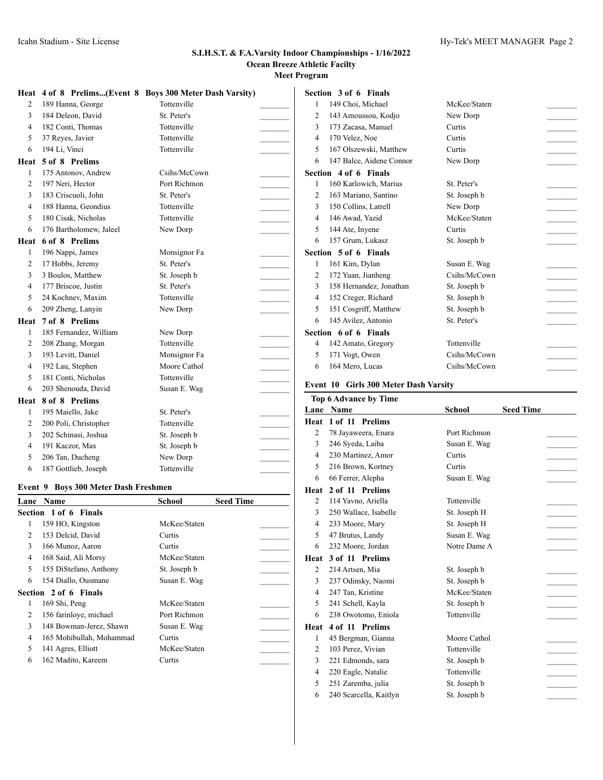| Heat           |                         | 4 of 8 Prelims(Event 8 Boys 300 Meter Dash Varsity) |  |
|----------------|-------------------------|-----------------------------------------------------|--|
| $\overline{c}$ | 189 Hanna, George       | Tottenville                                         |  |
| 3              | 184 Deleon, David       | St. Peter's                                         |  |
| $\overline{4}$ | 182 Conti, Thomas       | Tottenville                                         |  |
| 5              | 37 Reyes, Javier        | Tottenville                                         |  |
| 6              | 194 Li, Vinci           | Tottenville                                         |  |
| Heat           | 5 of 8 Prelims          |                                                     |  |
| 1              | 175 Antonov, Andrew     | Csihs/McCown                                        |  |
| $\overline{2}$ | 197 Neri, Hector        | Port Richmon                                        |  |
| 3              | 183 Criscuoli, John     | St. Peter's                                         |  |
| $\overline{4}$ | 188 Hanna, Geondius     | Tottenville                                         |  |
| 5              | 180 Cisak, Nicholas     | Tottenville                                         |  |
| 6              | 176 Bartholomew, Jaleel | New Dorp                                            |  |
| Heat           | 6 of 8 Prelims          |                                                     |  |
| $\mathbf{1}$   | 196 Nappi, James        | Monsignor Fa                                        |  |
| $\mathfrak{2}$ | 17 Hobbs, Jeremy        | St. Peter's                                         |  |
| 3              | 3 Boulos, Matthew       | St. Joseph b                                        |  |
| $\overline{4}$ | 177 Briscoe, Justin     | St. Peter's                                         |  |
| 5              | 24 Kochnev, Maxim       | Tottenville                                         |  |
| 6              | 209 Zheng, Lanyin       | New Dorp                                            |  |
| Heat           | 7 of 8 Prelims          |                                                     |  |
| 1              | 185 Fernandez, William  | New Dorp                                            |  |
| $\mathfrak{2}$ | 208 Zhang, Morgan       | Tottenville                                         |  |
| 3              | 193 Levitt, Daniel      | Monsignor Fa                                        |  |
| $\overline{4}$ | 192 Lau, Stephen        | Moore Cathol                                        |  |
| 5              | 181 Conti, Nicholas     | Tottenville                                         |  |
| 6              | 203 Shenouda, David     | Susan E. Wag                                        |  |
| Heat           | 8 of 8 Prelims          |                                                     |  |
| 1              | 195 Maiello, Jake       | St. Peter's                                         |  |
| 2              | 200 Poli, Christopher   | Tottenville                                         |  |
| 3              | 202 Schinasi, Joshua    | St. Joseph b                                        |  |
| 4              | 191 Kaczor, Max         | St. Joseph b                                        |  |
| 5              | 206 Tan, Ducheng        | New Dorp                                            |  |
| 6              | 187 Gottlieb, Joseph    | Tottenville                                         |  |

# **Event 9 Boys 300 Meter Dash Freshmen**

| Lane           | <b>Name</b>              | <b>School</b> | <b>Seed Time</b> |  |
|----------------|--------------------------|---------------|------------------|--|
|                | Section 1 of 6 Finals    |               |                  |  |
| 1              | 159 HO, Kingston         | McKee/Staten  |                  |  |
| 2              | 153 Delcid, David        | Curtis        |                  |  |
| 3              | 166 Munoz, Aaron         | Curtis        |                  |  |
| 4              | 168 Said, Ali Morsy      | McKee/Staten  |                  |  |
| 5.             | 155 DiStefano, Anthony   | St. Joseph b  |                  |  |
| 6              | 154 Diallo, Ousmane      | Susan E. Wag  |                  |  |
|                | Section 2 of 6 Finals    |               |                  |  |
| 1              | 169 Shi, Peng            | McKee/Staten  |                  |  |
| $\overline{c}$ | 156 farinloye, michael   | Port Richmon  |                  |  |
| 3              | 148 Bowman-Jerez, Shawn  | Susan E. Wag  |                  |  |
| 4              | 165 Mohibullah, Mohammad | Curtis        |                  |  |
| 5              | 141 Agres, Elliott       | McKee/Staten  |                  |  |
| 6              | 162 Madito, Kareem       | Curtis        |                  |  |
|                |                          |               |                  |  |

|                | Section 3 of 6 Finals    |              |  |
|----------------|--------------------------|--------------|--|
| 1              | 149 Choi, Michael        | McKee/Staten |  |
| 2              |                          | New Dorp     |  |
|                | 143 Amoussou, Kodjo      |              |  |
| 3              | 173 Zacasa, Manuel       | Curtis       |  |
| $\overline{4}$ | 170 Velez, Noe           | Curtis       |  |
| 5              | 167 Olszewski, Matthew   | Curtis       |  |
| 6              | 147 Balce, Aidene Connor | New Dorp     |  |
|                | Section 4 of 6 Finals    |              |  |
| 1              | 160 Karlowich, Marius    | St. Peter's  |  |
| 2              | 163 Mariano, Santino     | St. Joseph b |  |
| 3              | 150 Collins, Latrell     | New Dorp     |  |
| 4              | 146 Awad, Yazid          | McKee/Staten |  |
| 5              | 144 Ate, Inyene          | Curtis       |  |
| 6              | 157 Grum, Lukasz         | St. Joseph b |  |
|                | Section 5 of 6 Finals    |              |  |
| 1              | 161 Kim, Dylan           | Susan E. Wag |  |
| $\overline{2}$ | 172 Yuan, Jianheng       | Csihs/McCown |  |
| 3              | 158 Hernandez, Jonathan  | St. Joseph b |  |
| $\overline{4}$ | 152 Creger, Richard      | St. Joseph b |  |
| 5              | 151 Cosgriff, Matthew    | St. Joseph b |  |
| 6              | 145 Avilez, Antonio      | St. Peter's  |  |
|                | Section 6 of 6 Finals    |              |  |
| 4              | 142 Amato, Gregory       | Tottenville  |  |
| 5              | 171 Vogt, Owen           | Csihs/McCown |  |
| 6              | 164 Mero, Lucas          | Csihs/McCown |  |

# **Event 10 Girls 300 Meter Dash Varsity**

|                | <b>Top 6 Advance by Time</b> |               |                  |
|----------------|------------------------------|---------------|------------------|
| Lane           | <b>Name</b>                  | <b>School</b> | <b>Seed Time</b> |
| Heat           | 1 of 11 Prelims              |               |                  |
| $\overline{c}$ | 78 Jayaweera, Enara          | Port Richmon  |                  |
| 3              | 246 Syeda, Laiba             | Susan E. Wag  |                  |
| 4              | 230 Martinez, Amor           | Curtis        |                  |
| 5              | 216 Brown, Kortney           | Curtis        |                  |
| 6              | 66 Ferrer, Alepha            | Susan E. Wag  |                  |
| Heat           | 2 of 11 Prelims              |               |                  |
| 2              | 114 Yavno, Ariella           | Tottenville   |                  |
| 3              | 250 Wallace, Isabelle        | St. Joseph H  |                  |
| 4              | 233 Moore, Mary              | St. Joseph H  |                  |
| 5              | 47 Brutus, Landy             | Susan E. Wag  |                  |
| 6              | 232 Moore, Jordan            | Notre Dame A  |                  |
| Heat           | 3 of 11 Prelims              |               |                  |
| 2              | 214 Artsen, Mia              | St. Joseph b  |                  |
| 3              | 237 Odinsky, Naomi           | St. Joseph b  |                  |
| $\overline{4}$ | 247 Tan, Kristine            | McKee/Staten  |                  |
| 5              | 241 Schell, Kayla            | St. Joseph b  |                  |
| 6              | 238 Owotomo, Eniola          | Tottenville   |                  |
| Heat           | 4 of 11 Prelims              |               |                  |
| 1              | 45 Bergman, Gianna           | Moore Cathol  |                  |
| 2              | 103 Perez, Vivian            | Tottenville   |                  |
| 3              | 221 Edmonds, sara            | St. Joseph b  |                  |
| 4              | 220 Eagle, Natalie           | Tottenville   |                  |
| 5              | 251 Zaremba, julia           | St. Joseph b  |                  |
| 6              | 240 Scarcella, Kaitlyn       | St. Joseph b  |                  |
|                |                              |               |                  |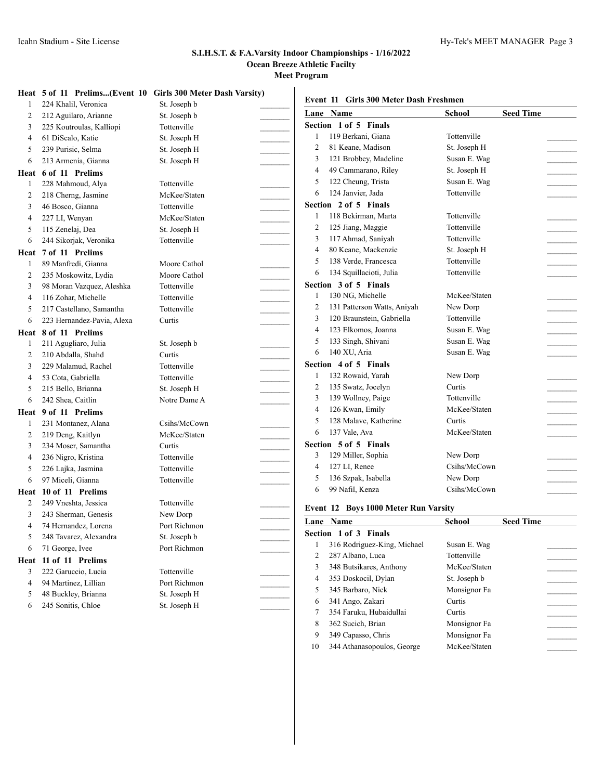|      | Heat 5 of 11 Prelims(Event 10 Girls 300 Meter Dash Varsity) |              | Event 11 Girls 300 Meter Dash Freshmen                             |                         |                  |
|------|-------------------------------------------------------------|--------------|--------------------------------------------------------------------|-------------------------|------------------|
|      | 224 Khalil, Veronica                                        | St. Joseph b | Lane Name                                                          | School                  | <b>Seed Time</b> |
| 2    | 212 Aguilaro, Arianne                                       | St. Joseph b | Section 1 of 5 Finals                                              |                         |                  |
| 3    | 225 Koutroulas, Kalliopi                                    | Tottenville  | 119 Berkani, Giana<br>1                                            | Tottenville             |                  |
| 4    | 61 DiScalo, Katie                                           | St. Joseph H | 81 Keane, Madison<br>2                                             | St. Joseph H            |                  |
| 5    | 239 Purisic, Selma                                          | St. Joseph H | 121 Brobbey, Madeline<br>3                                         | Susan E. Wag            |                  |
| 6    | 213 Armenia, Gianna                                         | St. Joseph H | 49 Cammarano, Riley<br>$\overline{4}$                              | St. Joseph H            |                  |
|      | Heat 6 of 11 Prelims                                        |              | 122 Cheung, Trista<br>5                                            | Susan E. Wag            |                  |
|      | 228 Mahmoud, Alya                                           | Tottenville  | 124 Janvier, Jada<br>6                                             | Tottenville             |                  |
| 2    | 218 Cherng, Jasmine                                         | McKee/Staten | Section 2 of 5 Finals                                              |                         |                  |
| 3    | 46 Bosco, Gianna                                            | Tottenville  | 118 Bekirman, Marta<br>1                                           | Tottenville             |                  |
| 4    | 227 LI, Wenyan                                              | McKee/Staten | 125 Jiang, Maggie<br>$\overline{2}$                                | Tottenville             |                  |
| 5    | 115 Zenelaj, Dea                                            | St. Joseph H | 117 Ahmad, Saniyah<br>3                                            | Tottenville             |                  |
| 6    | 244 Sikorjak, Veronika                                      | Tottenville  | 80 Keane, Mackenzie<br>$\overline{4}$                              | St. Joseph H            |                  |
| Heat | 7 of 11 Prelims                                             |              | 5<br>138 Verde, Francesca                                          | Tottenville             |                  |
|      | 89 Manfredi, Gianna                                         | Moore Cathol | 134 Squillacioti, Julia<br>6                                       | Tottenville             |                  |
| 2    | 235 Moskowitz, Lydia                                        | Moore Cathol | Section 3 of 5 Finals                                              |                         |                  |
| 3    | 98 Moran Vazquez, Aleshka                                   | Tottenville  | 130 NG, Michelle                                                   | McKee/Staten            |                  |
| 4    | 116 Zohar, Michelle                                         | Tottenville  | 1                                                                  |                         |                  |
| 5    | 217 Castellano, Samantha                                    | Tottenville  | 2<br>131 Patterson Watts, Aniyah<br>120 Braunstein, Gabriella<br>3 | New Dorp<br>Tottenville |                  |
| 6    | 223 Hernandez-Pavia, Alexa                                  | Curtis       | 123 Elkomos, Joanna<br>$\overline{4}$                              | Susan E. Wag            |                  |
|      | Heat 8 of 11 Prelims                                        |              | 5                                                                  |                         |                  |
|      | 211 Agugliaro, Julia                                        | St. Joseph b | 133 Singh, Shivani<br>140 XU, Aria                                 | Susan E. Wag            |                  |
| 2    | 210 Abdalla, Shahd                                          | Curtis       | 6                                                                  | Susan E. Wag            |                  |
| 3    | 229 Malamud, Rachel                                         | Tottenville  | Section 4 of 5 Finals                                              |                         |                  |
| 4    | 53 Cota, Gabriella                                          | Tottenville  | 132 Rowaid, Yarah<br>1                                             | New Dorp                |                  |
| 5    | 215 Bello, Brianna                                          | St. Joseph H | $\overline{2}$<br>135 Swatz, Jocelyn                               | Curtis                  |                  |
| 6    | 242 Shea, Caitlin                                           | Notre Dame A | 3<br>139 Wollney, Paige                                            | Tottenville             |                  |
| Heat | 9 of 11 Prelims                                             |              | 126 Kwan, Emily<br>$\overline{4}$                                  | McKee/Staten            |                  |
|      | 231 Montanez, Alana                                         | Csihs/McCown | 128 Malave, Katherine<br>5                                         | Curtis                  |                  |
| 2    | 219 Deng, Kaitlyn                                           | McKee/Staten | 137 Vale, Ava<br>6                                                 | McKee/Staten            |                  |
| 3    | 234 Moser, Samantha                                         | Curtis       | Section 5 of 5 Finals                                              |                         |                  |
| 4    | 236 Nigro, Kristina                                         | Tottenville  | 129 Miller, Sophia<br>3                                            | New Dorp                |                  |
| 5    | 226 Lajka, Jasmina                                          | Tottenville  | 127 LI, Renee<br>4                                                 | Csihs/McCown            |                  |
| 6    | 97 Miceli, Gianna                                           | Tottenville  | 136 Szpak, Isabella<br>5                                           | New Dorp                |                  |
|      | Heat 10 of 11 Prelims                                       |              | 99 Nafil, Kenza<br>6                                               | Csihs/McCown            |                  |
| 2    | 249 Vneshta, Jessica                                        | Tottenville  | Event 12 Boys 1000 Meter Run Varsity                               |                         |                  |
| 3    | 243 Sherman, Genesis                                        | New Dorp     | Lane Name                                                          | School                  | <b>Seed Time</b> |
|      | 74 Hernandez, Lorena                                        | Port Richmon | Section 1 of 3 Finals                                              |                         |                  |
| 5    | 248 Tavarez, Alexandra                                      | St. Joseph b | 316 Rodriguez-King, Michael<br>1                                   | Susan E. Wag            |                  |
| 6    | 71 George, Ivee                                             | Port Richmon | 287 Albano, Luca<br>2                                              | Tottenville             |                  |
|      | Heat 11 of 11 Prelims                                       |              | 348 Butsikares, Anthony<br>3                                       | McKee/Staten            |                  |
| 3    | 222 Garuccio, Lucia                                         | Tottenville  | 353 Doskocil, Dylan<br>$\overline{4}$                              | St. Joseph b            |                  |
| 4    | 94 Martinez, Lillian                                        | Port Richmon | 345 Barbaro, Nick<br>5                                             | Monsignor Fa            |                  |
| 5    | 48 Buckley, Brianna                                         | St. Joseph H |                                                                    | Curtis                  |                  |
| 6    | 245 Sonitis, Chloe                                          | St. Joseph H | 341 Ango, Zakari<br>6<br>354 Faruku, Hubaidullai<br>7              | Curtis                  |                  |
|      |                                                             |              | 362 Sucich, Brian<br>8                                             | Monsignor Fa            |                  |
|      |                                                             |              |                                                                    |                         |                  |

9 349 Capasso, Chris Monsignor Fa 344 Athanasopoulos, George McKee/Staten \_\_\_\_\_\_\_\_\_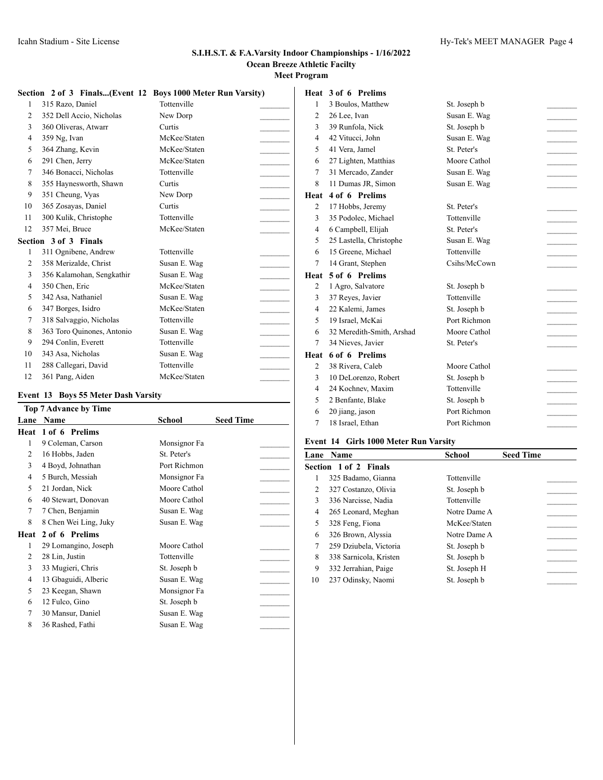|              |                            | Section 2 of 3 Finals(Event 12 Boys 1000 Meter Run Varsity) |  |
|--------------|----------------------------|-------------------------------------------------------------|--|
| 1            | 315 Razo, Daniel           | Tottenville                                                 |  |
| 2            | 352 Dell Accio, Nicholas   | New Dorp                                                    |  |
| 3            | 360 Oliveras, Atwarr       | Curtis                                                      |  |
| 4            | 359 Ng, Ivan               | McKee/Staten                                                |  |
| 5            | 364 Zhang, Kevin           | McKee/Staten                                                |  |
| 6            | 291 Chen, Jerry            | McKee/Staten                                                |  |
| 7            | 346 Bonacci, Nicholas      | Tottenville                                                 |  |
| 8            | 355 Haynesworth, Shawn     | Curtis                                                      |  |
| 9            | 351 Cheung, Vyas           | New Dorp                                                    |  |
| 10           | 365 Zosayas, Daniel        | Curtis                                                      |  |
| 11           | 300 Kulik, Christophe      | Tottenville                                                 |  |
| 12           | 357 Mei, Bruce             | McKee/Staten                                                |  |
|              | Section 3 of 3 Finals      |                                                             |  |
| $\mathbf{1}$ | 311 Ognibene, Andrew       | Tottenville                                                 |  |
| 2            | 358 Merizalde, Christ      | Susan E. Wag                                                |  |
| 3            | 356 Kalamohan, Sengkathir  | Susan E. Wag                                                |  |
| 4            | 350 Chen, Eric             | McKee/Staten                                                |  |
| 5            | 342 Asa, Nathaniel         | Susan E. Wag                                                |  |
| 6            | 347 Borges, Isidro         | McKee/Staten                                                |  |
| 7            | 318 Salvaggio, Nicholas    | Tottenville                                                 |  |
| 8            | 363 Toro Quinones, Antonio | Susan E. Wag                                                |  |
| 9            | 294 Conlin, Everett        | Tottenville                                                 |  |
| 10           | 343 Asa, Nicholas          | Susan E. Wag                                                |  |
| 11           | 288 Callegari, David       | Tottenville                                                 |  |
| 12           | 361 Pang, Aiden            | McKee/Staten                                                |  |
|              |                            |                                                             |  |

# **Event 13 Boys 55 Meter Dash Varsity**

|      | <b>Top 7 Advance by Time</b> |              |                  |  |  |
|------|------------------------------|--------------|------------------|--|--|
| Lane | Name                         | School       | <b>Seed Time</b> |  |  |
| Heat | 1 of 6 Prelims               |              |                  |  |  |
| 1    | 9 Coleman, Carson            | Monsignor Fa |                  |  |  |
| 2    | 16 Hobbs, Jaden              | St. Peter's  |                  |  |  |
| 3    | 4 Boyd, Johnathan            | Port Richmon |                  |  |  |
| 4    | 5 Burch, Messiah             | Monsignor Fa |                  |  |  |
| 5    | 21 Jordan, Nick              | Moore Cathol |                  |  |  |
| 6    | 40 Stewart, Donovan          | Moore Cathol |                  |  |  |
| 7    | 7 Chen, Benjamin             | Susan E. Wag |                  |  |  |
| 8    | 8 Chen Wei Ling, Juky        | Susan E. Wag |                  |  |  |
| Heat | 2 of 6 Prelims               |              |                  |  |  |
| 1    | 29 Lomangino, Joseph         | Moore Cathol |                  |  |  |
| 2    | 28 Lin, Justin               | Tottenville  |                  |  |  |
| 3    | 33 Mugieri, Chris            | St. Joseph b |                  |  |  |
| 4    | 13 Gbaguidi, Alberic         | Susan E. Wag |                  |  |  |
| 5    | 23 Keegan, Shawn             | Monsignor Fa |                  |  |  |
| 6    | 12 Fulco, Gino               | St. Joseph b |                  |  |  |
| 7    | 30 Mansur, Daniel            | Susan E. Wag |                  |  |  |
| 8    | 36 Rashed, Fathi             | Susan E. Wag |                  |  |  |
|      |                              |              |                  |  |  |

|                | Heat 3 of 6 Prelims       |              |  |
|----------------|---------------------------|--------------|--|
| 1              | 3 Boulos, Matthew         | St. Joseph b |  |
| $\overline{c}$ | 26 Lee, Ivan              | Susan E. Wag |  |
| 3              | 39 Runfola, Nick          | St. Joseph b |  |
| 4              | 42 Vitucci, John          | Susan E. Wag |  |
| 5              | 41 Vera, Jamel            | St. Peter's  |  |
| 6              | 27 Lighten, Matthias      | Moore Cathol |  |
| 7              | 31 Mercado, Zander        | Susan E. Wag |  |
| 8              | 11 Dumas JR, Simon        | Susan E. Wag |  |
| Heat           | 4 of 6 Prelims            |              |  |
| 2              | 17 Hobbs, Jeremy          | St. Peter's  |  |
| 3              | 35 Podolec, Michael       | Tottenville  |  |
| $\overline{4}$ | 6 Campbell, Elijah        | St. Peter's  |  |
| 5              | 25 Lastella, Christophe   | Susan E. Wag |  |
| 6              | 15 Greene, Michael        | Tottenville  |  |
| 7              | 14 Grant, Stephen         | Csihs/McCown |  |
| Heat           | 5 of 6 Prelims            |              |  |
| 2              | 1 Agro, Salvatore         | St. Joseph b |  |
| 3              | 37 Reyes, Javier          | Tottenville  |  |
| 4              | 22 Kalemi, James          | St. Joseph b |  |
| 5              | 19 Israel, McKai          | Port Richmon |  |
| 6              | 32 Meredith-Smith, Arshad | Moore Cathol |  |
| 7              | 34 Nieves, Javier         | St. Peter's  |  |
| Heat           | 6 of 6 Prelims            |              |  |
| 2              | 38 Rivera, Caleb          | Moore Cathol |  |
| 3              | 10 DeLorenzo, Robert      | St. Joseph b |  |
| $\overline{4}$ | 24 Kochnev, Maxim         | Tottenville  |  |
| 5              | 2 Benfante, Blake         | St. Joseph b |  |
| 6              | 20 jiang, jason           | Port Richmon |  |
| $\overline{7}$ | 18 Israel. Ethan          | Port Richmon |  |

# **Event 14 Girls 1000 Meter Run Varsity**

| Lane | <b>Name</b>            | School       | <b>Seed Time</b> |
|------|------------------------|--------------|------------------|
|      | Section 1 of 2 Finals  |              |                  |
| 1    | 325 Badamo, Gianna     | Tottenville  |                  |
| 2    | 327 Costanzo, Olivia   | St. Joseph b |                  |
| 3    | 336 Narcisse, Nadia    | Tottenville  |                  |
| 4    | 265 Leonard, Meghan    | Notre Dame A |                  |
| 5    | 328 Feng, Fiona        | McKee/Staten |                  |
| 6    | 326 Brown, Alyssia     | Notre Dame A |                  |
| 7    | 259 Dziubela, Victoria | St. Joseph b |                  |
| 8    | 338 Sarnicola, Kristen | St. Joseph b |                  |
| 9    | 332 Jerrahian, Paige   | St. Joseph H |                  |
| 10   | 237 Odinsky, Naomi     | St. Joseph b |                  |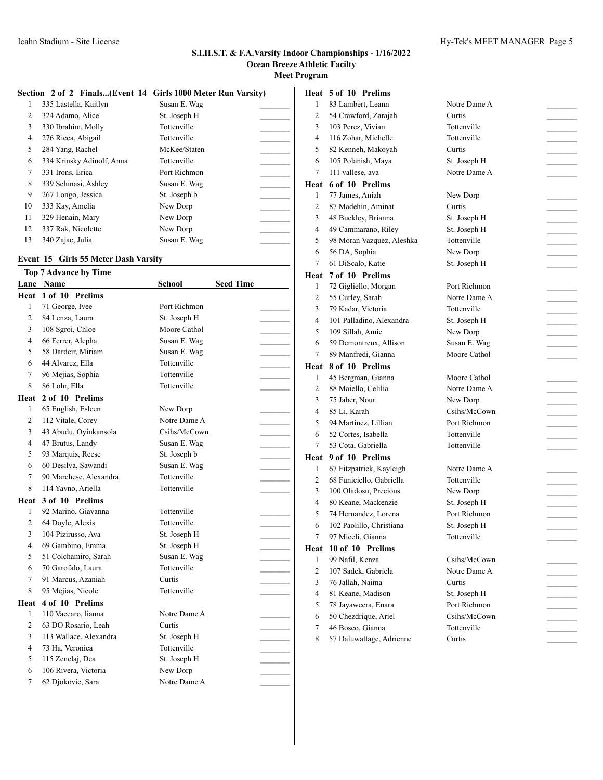$\overline{1}$ 

|    |                           | Section 2 of 2 Finals(Event 14 Girls 1000 Meter Run Varsity) |  |
|----|---------------------------|--------------------------------------------------------------|--|
| 1  | 335 Lastella, Kaitlyn     | Susan E. Wag                                                 |  |
| 2  | 324 Adamo, Alice          | St. Joseph H                                                 |  |
| 3  | 330 Ibrahim, Molly        | Tottenville                                                  |  |
| 4  | 276 Ricca, Abigail        | Tottenville                                                  |  |
| 5  | 284 Yang, Rachel          | McKee/Staten                                                 |  |
| 6  | 334 Krinsky Adinolf, Anna | Tottenville                                                  |  |
| 7  | 331 Irons, Erica          | Port Richmon                                                 |  |
| 8  | 339 Schinasi, Ashley      | Susan E. Wag                                                 |  |
| 9  | 267 Longo, Jessica        | St. Joseph b                                                 |  |
| 10 | 333 Kay, Amelia           | New Dorp                                                     |  |
| 11 | 329 Henain, Mary          | New Dorp                                                     |  |
| 12 | 337 Rak, Nicolette        | New Dorp                                                     |  |
| 13 | 340 Zajac, Julia          | Susan E. Wag                                                 |  |
|    |                           |                                                              |  |

# **Event 15 Girls 55 Meter Dash Varsity**

|                          | <b>Top 7 Advance by Time</b> |              |                  |  |
|--------------------------|------------------------------|--------------|------------------|--|
|                          | Lane Name                    | School       | <b>Seed Time</b> |  |
| Heat                     | 1 of 10 Prelims              |              |                  |  |
| 1                        | 71 George, Ivee              | Port Richmon |                  |  |
| $\overline{c}$           | 84 Lenza, Laura              | St. Joseph H |                  |  |
| 3                        | 108 Sgroi, Chloe             | Moore Cathol |                  |  |
| $\overline{\mathcal{L}}$ | 66 Ferrer, Alepha            | Susan E. Wag |                  |  |
| 5                        | 58 Dardeir, Miriam           | Susan E. Wag |                  |  |
| 6                        | 44 Alvarez, Ella             | Tottenville  |                  |  |
| 7                        | 96 Mejias, Sophia            | Tottenville  |                  |  |
| 8                        | 86 Lohr, Ella                | Tottenville  |                  |  |
| Heat                     | 2 of 10 Prelims              |              |                  |  |
| 1                        | 65 English, Esleen           | New Dorp     |                  |  |
| $\overline{c}$           | 112 Vitale, Corey            | Notre Dame A |                  |  |
| 3                        | 43 Abudu, Oyinkansola        | Csihs/McCown |                  |  |
| $\overline{\mathcal{L}}$ | 47 Brutus, Landy             | Susan E. Wag |                  |  |
| 5                        | 93 Marquis, Reese            | St. Joseph b |                  |  |
| 6                        | 60 Desilva, Sawandi          | Susan E. Wag |                  |  |
| $\tau$                   | 90 Marchese, Alexandra       | Tottenville  |                  |  |
| 8                        | 114 Yavno, Ariella           | Tottenville  |                  |  |
| Heat                     | 3 of 10 Prelims              |              |                  |  |
| 1                        | 92 Marino, Giavanna          | Tottenville  |                  |  |
| $\overline{c}$           | 64 Doyle, Alexis             | Tottenville  |                  |  |
| 3                        | 104 Pizirusso, Ava           | St. Joseph H |                  |  |
| 4                        | 69 Gambino, Emma             | St. Joseph H |                  |  |
| 5                        | 51 Colchamiro, Sarah         | Susan E. Wag |                  |  |
| 6                        | 70 Garofalo, Laura           | Tottenville  |                  |  |
| 7                        | 91 Marcus, Azaniah           | Curtis       |                  |  |
| 8                        | 95 Mejias, Nicole            | Tottenville  |                  |  |
| Heat                     | 4 of 10 Prelims              |              |                  |  |
| 1                        | 110 Vaccaro, lianna          | Notre Dame A |                  |  |
| $\overline{c}$           | 63 DO Rosario, Leah          | Curtis       |                  |  |
| 3                        | 113 Wallace, Alexandra       | St. Joseph H |                  |  |
| 4                        | 73 Ha, Veronica              | Tottenville  |                  |  |
| 5                        | 115 Zenelaj, Dea             | St. Joseph H |                  |  |
| 6                        | 106 Rivera, Victoria         | New Dorp     |                  |  |
| 7                        | 62 Djokovic, Sara            | Notre Dame A |                  |  |
|                          |                              |              |                  |  |

# **Heat 5 of 10 Prelims**

| 1              | 83 Lambert, Leann         | Notre Dame A |  |
|----------------|---------------------------|--------------|--|
| 2              | 54 Crawford, Zarajah      | Curtis       |  |
| 3              | 103 Perez, Vivian         | Tottenville  |  |
| 4              | 116 Zohar, Michelle       | Tottenville  |  |
| 5              | 82 Kenneh, Makoyah        | Curtis       |  |
| 6              | 105 Polanish, Maya        | St. Joseph H |  |
| 7              | 111 vallese, ava          | Notre Dame A |  |
| Heat           | 6 of 10 Prelims           |              |  |
| 1              | 77 James, Aniah           | New Dorp     |  |
| $\overline{c}$ | 87 Madehin, Aminat        | Curtis       |  |
| 3              | 48 Buckley, Brianna       | St. Joseph H |  |
| 4              | 49 Cammarano, Riley       | St. Joseph H |  |
| 5              | 98 Moran Vazquez, Aleshka | Tottenville  |  |
| 6              | 56 DA, Sophia             | New Dorp     |  |
| 7              |                           |              |  |
|                | 61 DiScalo, Katie         | St. Joseph H |  |
| Heat           | 7 of 10 Prelims           |              |  |
| 1              | 72 Gigliello, Morgan      | Port Richmon |  |
| 2              | 55 Curley, Sarah          | Notre Dame A |  |
| 3              | 79 Kadar, Victoria        | Tottenville  |  |
| 4              | 101 Palladino, Alexandra  | St. Joseph H |  |
| 5              | 109 Sillah, Amie          | New Dorp     |  |
| 6              | 59 Demontreux, Allison    | Susan E. Wag |  |
| 7              | 89 Manfredi, Gianna       | Moore Cathol |  |
|                | Heat 8 of 10 Prelims      |              |  |
| 1              | 45 Bergman, Gianna        | Moore Cathol |  |
| 2              | 88 Maiello, Celilia       | Notre Dame A |  |
| 3              | 75 Jaber, Nour            | New Dorp     |  |
| 4              | 85 Li, Karah              | Csihs/McCown |  |
| 5              | 94 Martinez, Lillian      | Port Richmon |  |
| 6              | 52 Cortes, Isabella       | Tottenville  |  |
| 7              | 53 Cota, Gabriella        | Tottenville  |  |
| Heat           | 9 of 10 Prelims           |              |  |
| 1              | 67 Fitzpatrick, Kayleigh  | Notre Dame A |  |
| 2              | 68 Funiciello, Gabriella  | Tottenville  |  |
| 3              | 100 Oladosu, Precious     | New Dorp     |  |
| 4              | 80 Keane, Mackenzie       | St. Joseph H |  |
| 5              | 74 Hernandez, Lorena      | Port Richmon |  |
| 6              | 102 Paolillo, Christiana  | St. Joseph H |  |
| 7              | 97 Miceli, Gianna         | Tottenville  |  |
|                | Heat 10 of 10 Prelims     |              |  |
| 1              | 99 Nafil, Kenza           | Csihs/McCown |  |
| 2              | 107 Sadek, Gabriela       | Notre Dame A |  |
| 3              | 76 Jallah, Naima          | Curtis       |  |
| 4              | 81 Keane, Madison         | St. Joseph H |  |
| 5              | 78 Jayaweera, Enara       | Port Richmon |  |
| 6              | 50 Chezdrique, Ariel      | Csihs/McCown |  |
| 7              |                           | Tottenville  |  |
|                | 46 Bosco, Gianna          |              |  |
| 8              | 57 Daluwattage, Adrienne  | Curtis       |  |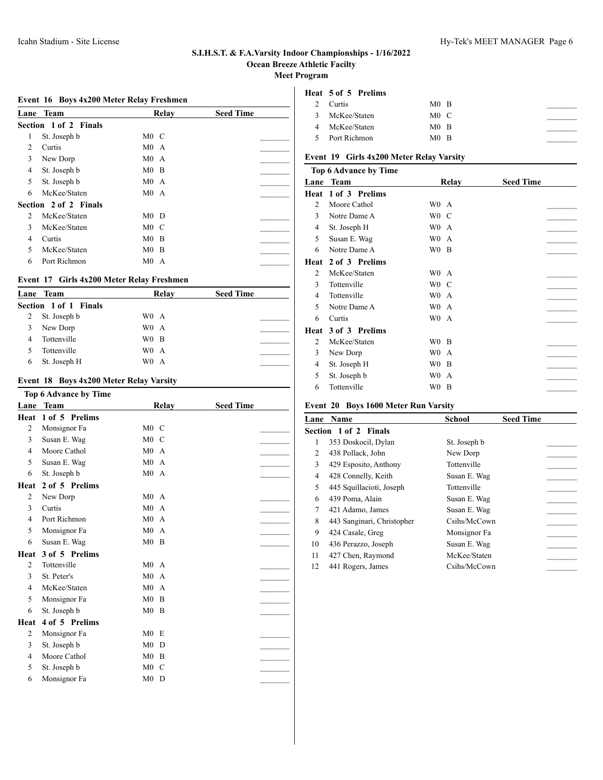# **Event 16 Boys 4x200 Meter Relay Freshmen**

| Lane | <b>Team</b>           | Relay                | <b>Seed Time</b> |
|------|-----------------------|----------------------|------------------|
|      | Section 1 of 2 Finals |                      |                  |
| 1    | St. Joseph b          | $M0$ C               |                  |
| 2    | Curtis                | M0A                  |                  |
| 3    | New Dorp              | M0A                  |                  |
| 4    | St. Joseph b          | $M0$ B               |                  |
| 5    | St. Joseph b          | M0A                  |                  |
| 6    | McKee/Staten          | M0A                  |                  |
|      | Section 2 of 2 Finals |                      |                  |
| 2    | McKee/Staten          | $M0$ D               |                  |
| 3    | McKee/Staten          | $M0$ C               |                  |
| 4    | Curtis                | M <sub>0</sub><br>-B |                  |
| 5    | McKee/Staten          | $M0$ B               |                  |
| 6    | Port Richmon          | M0A                  |                  |

#### **Event 17 Girls 4x200 Meter Relay Freshmen**

|   | Lane Team             | Relay            | <b>Seed Time</b> |
|---|-----------------------|------------------|------------------|
|   | Section 1 of 1 Finals |                  |                  |
| 2 | St. Joseph b          | W <sub>0</sub> A |                  |
| 3 | New Dorp              | W <sub>0</sub> A |                  |
| 4 | Tottenville           | W <sub>0</sub> B |                  |
| 5 | Tottenville           | W <sub>0</sub> A |                  |
| 6 | St. Joseph H          | W <sub>0</sub> A |                  |

# **Event 18 Boys 4x200 Meter Relay Varsity**

|                | Top 6 Advance by Time |                                  |                  |
|----------------|-----------------------|----------------------------------|------------------|
| Lane           | <b>Team</b>           | Relay                            | <b>Seed Time</b> |
| Heat           | 1 of 5 Prelims        |                                  |                  |
| 2              | Monsignor Fa          | $M0 \quad C$                     |                  |
| 3              | Susan E. Wag          | $M0$ C                           |                  |
| $\overline{4}$ | Moore Cathol          | M0A                              |                  |
| 5              | Susan E. Wag          | M <sub>0</sub><br>$\overline{A}$ |                  |
| 6              | St. Joseph b          | M0A                              |                  |
| Heat           | 2 of 5 Prelims        |                                  |                  |
| 2              | New Dorp              | M0A                              |                  |
| 3              | Curtis                | M <sub>0</sub><br>$\overline{A}$ |                  |
| 4              | Port Richmon          | M <sub>0</sub><br>$\mathbf{A}$   |                  |
| 5              | Monsignor Fa          | M <sub>0</sub><br>$\mathsf{A}$   |                  |
| 6              | Susan E. Wag          | $M0$ B                           |                  |
| Heat           | 3 of 5 Prelims        |                                  |                  |
| 2              | Tottenville           | M0A                              |                  |
| 3              | St. Peter's           | M <sub>0</sub><br>$\overline{A}$ |                  |
| 4              | McKee/Staten          | M <sub>0</sub><br>$\mathsf{A}$   |                  |
| 5              | Monsignor Fa          | M <sub>0</sub><br>B              |                  |
| 6              | St. Joseph b          | $M0$ B                           |                  |
| Heat           | 4 of 5 Prelims        |                                  |                  |
| 2              | Monsignor Fa          | M <sub>0</sub><br>E              |                  |
| 3              | St. Joseph b          | M <sub>0</sub><br>D              |                  |
| 4              | Moore Cathol          | M <sub>0</sub><br>B              |                  |
| 5              | St. Joseph b          | M <sub>0</sub><br>C              |                  |
| 6              | Monsignor Fa          | M <sub>0</sub><br>D              |                  |
|                |                       |                                  |                  |

# **Heat 5 of 5 Prelims**

|   | Curtis         | $M0$ B    |  |
|---|----------------|-----------|--|
| 3 | McKee/Staten   | $M0 \, C$ |  |
|   | McKee/Staten   | $M0$ B    |  |
|   | 5 Port Richmon | $M0$ B    |  |

# **Event 19 Girls 4x200 Meter Relay Varsity**

| Top 6 Advance by Time  |                  |                  |
|------------------------|------------------|------------------|
| Team                   | Relay            | <b>Seed Time</b> |
| 1 of 3 Prelims         |                  |                  |
| Moore Cathol           | W0<br>A          |                  |
| Notre Dame A           | W0<br>C          |                  |
| St. Joseph H           | W0<br>А          |                  |
| Susan E. Wag           | W0<br>A          |                  |
| Notre Dame A           | W <sub>0</sub> B |                  |
| 2 of 3 Prelims         |                  |                  |
| McKee/Staten           | W0<br>A          |                  |
| Tottenville            | W0<br>- C        |                  |
| Tottenville            | W0<br>A          |                  |
| Notre Dame A           | W0<br>A          |                  |
| Curtis                 | W0.<br>A         |                  |
| 3 of 3 Prelims<br>Heat |                  |                  |
| McKee/Staten           | W0<br>- B        |                  |
| New Dorp               | W0<br>A          |                  |
| St. Joseph H           | W0<br>B          |                  |
| St. Joseph b           | W0<br>A          |                  |
| Tottenville            | W0<br>B          |                  |
|                        |                  |                  |

# **Event 20 Boys 1600 Meter Run Varsity**

| Lane | <b>Name</b>                | School       | <b>Seed Time</b> |
|------|----------------------------|--------------|------------------|
|      | Section 1 of 2 Finals      |              |                  |
| 1    | 353 Doskocil, Dylan        | St. Joseph b |                  |
| 2    | 438 Pollack, John          | New Dorp     |                  |
| 3    | 429 Esposito, Anthony      | Tottenville  |                  |
| 4    | 428 Connelly, Keith        | Susan E. Wag |                  |
| 5    | 445 Squillacioti, Joseph   | Tottenville  |                  |
| 6    | 439 Poma, Alain            | Susan E. Wag |                  |
| 7    | 421 Adamo, James           | Susan E. Wag |                  |
| 8    | 443 Sanginari, Christopher | Csihs/McCown |                  |
| 9    | 424 Casale, Greg           | Monsignor Fa |                  |
| 10   | 436 Perazzo, Joseph        | Susan E. Wag |                  |
| 11   | 427 Chen, Raymond          | McKee/Staten |                  |
| 12   | 441 Rogers, James          | Csihs/McCown |                  |
|      |                            |              |                  |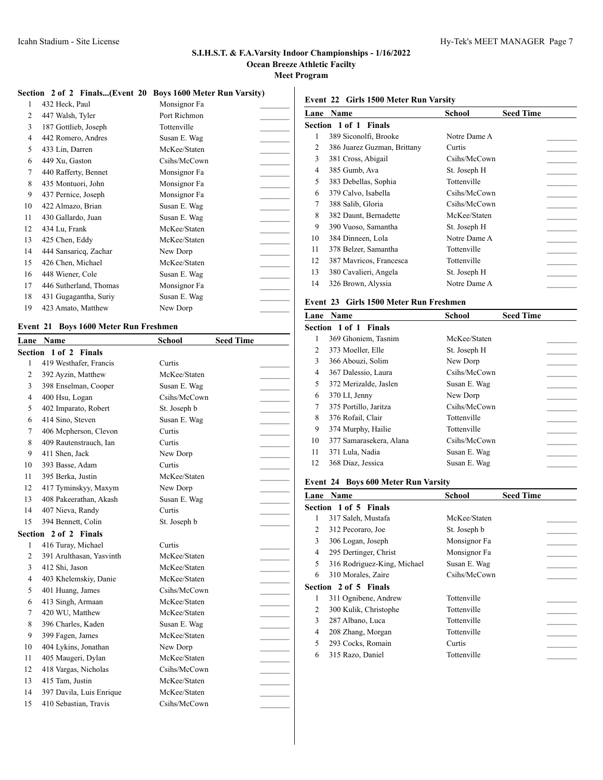#### **Section 2 of 2 Finals...(Event 20 Boys 1600 Meter Run Varsity)**

| 1              | 432 Heck, Paul         | Monsignor Fa |
|----------------|------------------------|--------------|
| $\overline{2}$ | 447 Walsh, Tyler       | Port Richmon |
| 3              | 187 Gottlieb, Joseph   | Tottenville  |
| $\overline{4}$ | 442 Romero, Andres     | Susan E. Wag |
| 5              | 433 Lin, Darren        | McKee/Staten |
| 6              | 449 Xu, Gaston         | Csihs/McCown |
| 7              | 440 Rafferty, Bennet   | Monsignor Fa |
| 8              | 435 Montuori, John     | Monsignor Fa |
| 9              | 437 Pernice, Joseph    | Monsignor Fa |
| 10             | 422 Almazo, Brian      | Susan E. Wag |
| 11             | 430 Gallardo, Juan     | Susan E. Wag |
| 12             | 434 Lu, Frank          | McKee/Staten |
| 13             | 425 Chen, Eddy         | McKee/Staten |
| 14             | 444 Sansaricq, Zachar  | New Dorp     |
| 15             | 426 Chen, Michael      | McKee/Staten |
| 16             | 448 Wiener, Cole       | Susan E. Wag |
| 17             | 446 Sutherland, Thomas | Monsignor Fa |
| 18             | 431 Gugagantha, Suriy  | Susan E. Wag |
| 19             | 423 Amato, Matthew     | New Dorp     |
|                |                        |              |

# **Event 21 Boys 1600 Meter Run Freshmen**

| Lane           | <b>Name</b>              | School       | <b>Seed Time</b> |  |
|----------------|--------------------------|--------------|------------------|--|
|                | Section 1 of 2 Finals    |              |                  |  |
| 1              | 419 Westhafer, Francis   | Curtis       |                  |  |
| $\overline{c}$ | 392 Ayzin, Matthew       | McKee/Staten |                  |  |
| 3              | 398 Enselman, Cooper     | Susan E. Wag |                  |  |
| 4              | 400 Hsu, Logan           | Csihs/McCown |                  |  |
| 5              | 402 Imparato, Robert     | St. Joseph b |                  |  |
| 6              | 414 Sino, Steven         | Susan E. Wag |                  |  |
| 7              | 406 Mcpherson, Clevon    | Curtis       |                  |  |
| 8              | 409 Rautenstrauch, Ian   | Curtis       |                  |  |
| 9              | 411 Shen, Jack           | New Dorp     |                  |  |
| 10             | 393 Basse, Adam          | Curtis       |                  |  |
| 11             | 395 Berka, Justin        | McKee/Staten |                  |  |
| 12             | 417 Tyminskyy, Maxym     | New Dorp     |                  |  |
| 13             | 408 Pakeerathan, Akash   | Susan E. Wag |                  |  |
| 14             | 407 Nieva, Randy         | Curtis       |                  |  |
| 15             | 394 Bennett, Colin       | St. Joseph b |                  |  |
|                | Section 2 of 2 Finals    |              |                  |  |
| $\mathbf{1}$   | 416 Turay, Michael       | Curtis       |                  |  |
| $\overline{c}$ | 391 Arulthasan, Yasvinth | McKee/Staten |                  |  |
| 3              | 412 Shi, Jason           | McKee/Staten |                  |  |
| $\overline{4}$ | 403 Khelemskiy, Danie    | McKee/Staten |                  |  |
| 5              | 401 Huang, James         | Csihs/McCown |                  |  |
| 6              | 413 Singh, Armaan        | McKee/Staten |                  |  |
| 7              | 420 WU, Matthew          | McKee/Staten |                  |  |
| 8              | 396 Charles, Kaden       | Susan E. Wag |                  |  |
| 9              | 399 Fagen, James         | McKee/Staten |                  |  |
| 10             | 404 Lykins, Jonathan     | New Dorp     |                  |  |
| 11             | 405 Maugeri, Dylan       | McKee/Staten |                  |  |
| 12             | 418 Vargas, Nicholas     | Csihs/McCown |                  |  |
| 13             | 415 Tam, Justin          | McKee/Staten |                  |  |
| 14             | 397 Davila, Luis Enrique | McKee/Staten |                  |  |
| 15             | 410 Sebastian, Travis    | Csihs/McCown |                  |  |
|                |                          |              |                  |  |

# **Event 22 Girls 1500 Meter Run Varsity**

| Lane | Name                        | School       | <b>Seed Time</b> |
|------|-----------------------------|--------------|------------------|
|      | Section 1 of 1 Finals       |              |                  |
| 1    | 389 Siconolfi, Brooke       | Notre Dame A |                  |
| 2    | 386 Juarez Guzman, Brittany | Curtis       |                  |
| 3    | 381 Cross, Abigail          | Csihs/McCown |                  |
| 4    | 385 Gumb, Ava               | St. Joseph H |                  |
| 5    | 383 Debellas, Sophia        | Tottenville  |                  |
| 6    | 379 Calvo, Isabella         | Csihs/McCown |                  |
| 7    | 388 Salib, Gloria           | Csihs/McCown |                  |
| 8    | 382 Daunt, Bernadette       | McKee/Staten |                  |
| 9    | 390 Vuoso, Samantha         | St. Joseph H |                  |
| 10   | 384 Dinneen, Lola           | Notre Dame A |                  |
| 11   | 378 Belzer, Samantha        | Tottenville  |                  |
| 12   | 387 Mavricos, Francesca     | Tottenville  |                  |
| 13   | 380 Cavalieri, Angela       | St. Joseph H |                  |
| 14   | 326 Brown, Alyssia          | Notre Dame A |                  |

# **Event 23 Girls 1500 Meter Run Freshmen**

| Lane | <b>Name</b>                  | <b>School</b> | <b>Seed Time</b> |  |
|------|------------------------------|---------------|------------------|--|
|      | <b>Section 1 of 1 Finals</b> |               |                  |  |
| 1    | 369 Ghoniem, Tasnim          | McKee/Staten  |                  |  |
| 2    | 373 Moeller, Elle            | St. Joseph H  |                  |  |
| 3    | 366 Abouzi, Solim            | New Dorp      |                  |  |
| 4    | 367 Dalessio, Laura          | Csihs/McCown  |                  |  |
| 5    | 372 Merizalde, Jaslen        | Susan E. Wag  |                  |  |
| 6    | 370 LI, Jenny                | New Dorp      |                  |  |
| 7    | 375 Portillo, Jaritza        | Csihs/McCown  |                  |  |
| 8    | 376 Rofail, Clair            | Tottenville   |                  |  |
| 9    | 374 Murphy, Hailie           | Tottenville   |                  |  |
| 10   | 377 Samarasekera, Alana      | Csihs/McCown  |                  |  |
| 11   | 371 Lula, Nadia              | Susan E. Wag  |                  |  |
| 12   | 368 Diaz, Jessica            | Susan E. Wag  |                  |  |

# **Event 24 Boys 600 Meter Run Varsity**

| Lane           | Name                        | School       | <b>Seed Time</b> |  |
|----------------|-----------------------------|--------------|------------------|--|
|                | Section 1 of 5 Finals       |              |                  |  |
| 1              | 317 Saleh, Mustafa          | McKee/Staten |                  |  |
| 2              | 312 Pecoraro, Joe           | St. Joseph b |                  |  |
| 3              | 306 Logan, Joseph           | Monsignor Fa |                  |  |
| $\overline{4}$ | 295 Dertinger, Christ       | Monsignor Fa |                  |  |
| 5              | 316 Rodriguez-King, Michael | Susan E. Wag |                  |  |
| 6              | 310 Morales, Zaire          | Csihs/McCown |                  |  |
|                | Section 2 of 5 Finals       |              |                  |  |
| 1              | 311 Ognibene, Andrew        | Tottenville  |                  |  |
| 2              | 300 Kulik, Christophe       | Tottenville  |                  |  |
| 3              | 287 Albano, Luca            | Tottenville  |                  |  |
| $\overline{4}$ | 208 Zhang, Morgan           | Tottenville  |                  |  |
| 5              | 293 Cocks, Romain           | Curtis       |                  |  |
| 6              | 315 Razo, Daniel            | Tottenville  |                  |  |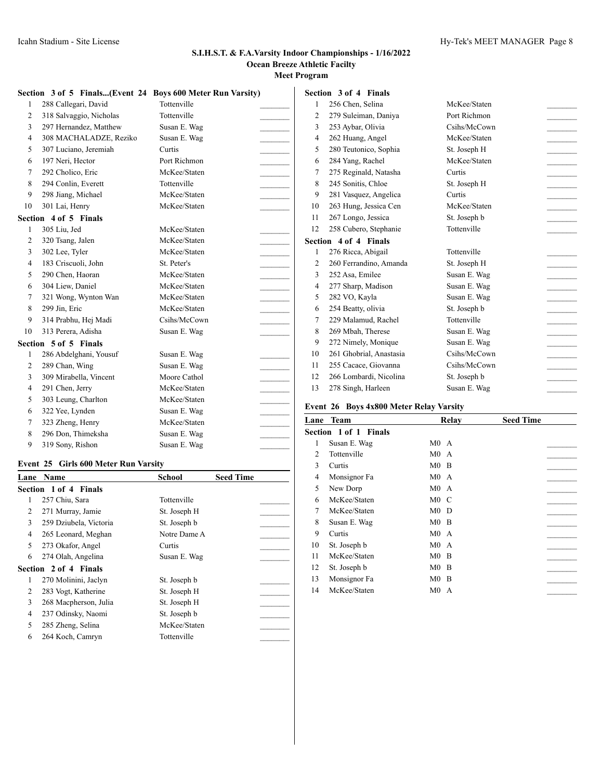|                | Section 3 of 5 Finals(Event 24 Boys 600 Meter Run Varsity) |              |                                                                                                                                                                                                                                                                                                                                                                                                                                                 | Section 3 of 4 Finals                          |              |                          |
|----------------|------------------------------------------------------------|--------------|-------------------------------------------------------------------------------------------------------------------------------------------------------------------------------------------------------------------------------------------------------------------------------------------------------------------------------------------------------------------------------------------------------------------------------------------------|------------------------------------------------|--------------|--------------------------|
|                | 288 Callegari, David                                       | Tottenville  |                                                                                                                                                                                                                                                                                                                                                                                                                                                 | 256 Chen, Selina                               | McKee/Staten |                          |
| 2              | 318 Salvaggio, Nicholas                                    | Tottenville  | 2                                                                                                                                                                                                                                                                                                                                                                                                                                               | 279 Suleiman, Daniya                           | Port Richmon |                          |
| 3              | 297 Hernandez, Matthew                                     | Susan E. Wag | 3                                                                                                                                                                                                                                                                                                                                                                                                                                               | 253 Aybar, Olivia                              | Csihs/McCown |                          |
| 4              | 308 MACHALADZE, Reziko                                     | Susan E. Wag | 4<br>$\overline{\phantom{a}}$                                                                                                                                                                                                                                                                                                                                                                                                                   | 262 Huang, Angel                               | McKee/Staten |                          |
| 5              | 307 Luciano, Jeremiah                                      | Curtis       | 5                                                                                                                                                                                                                                                                                                                                                                                                                                               | 280 Teutonico, Sophia                          | St. Joseph H | $\sim$                   |
| 6              | 197 Neri, Hector                                           | Port Richmon | 6                                                                                                                                                                                                                                                                                                                                                                                                                                               | 284 Yang, Rachel                               | McKee/Staten | $\overline{\phantom{a}}$ |
| 7              | 292 Cholico, Eric                                          | McKee/Staten | 7<br>$\sim$                                                                                                                                                                                                                                                                                                                                                                                                                                     | 275 Reginald, Natasha                          | Curtis       |                          |
| 8              | 294 Conlin, Everett                                        | Tottenville  | 8<br>$\overline{\phantom{a}}$                                                                                                                                                                                                                                                                                                                                                                                                                   | 245 Sonitis, Chloe                             | St. Joseph H | $\sim$                   |
| 9              | 298 Jiang, Michael                                         | McKee/Staten | 9                                                                                                                                                                                                                                                                                                                                                                                                                                               | 281 Vasquez, Angelica                          | Curtis       |                          |
| 10             | 301 Lai, Henry                                             | McKee/Staten | 10                                                                                                                                                                                                                                                                                                                                                                                                                                              | 263 Hung, Jessica Cen                          | McKee/Staten |                          |
| <b>Section</b> | 4 of 5 Finals                                              |              | 11                                                                                                                                                                                                                                                                                                                                                                                                                                              | 267 Longo, Jessica                             | St. Joseph b | $\sim$                   |
|                | 305 Liu, Jed                                               | McKee/Staten | 12                                                                                                                                                                                                                                                                                                                                                                                                                                              | 258 Cubero, Stephanie                          | Tottenville  |                          |
| $\overline{c}$ | 320 Tsang, Jalen                                           | McKee/Staten |                                                                                                                                                                                                                                                                                                                                                                                                                                                 | Section 4 of 4 Finals                          |              |                          |
| 3              | 302 Lee, Tyler                                             | McKee/Staten | $\overline{\phantom{a}}$                                                                                                                                                                                                                                                                                                                                                                                                                        | 276 Ricca, Abigail                             | Tottenville  |                          |
| 4              | 183 Criscuoli, John                                        | St. Peter's  | $\overline{2}$                                                                                                                                                                                                                                                                                                                                                                                                                                  | 260 Ferrandino, Amanda                         | St. Joseph H |                          |
| 5              | 290 Chen, Haoran                                           | McKee/Staten | 3                                                                                                                                                                                                                                                                                                                                                                                                                                               | 252 Asa, Emilee                                | Susan E. Wag |                          |
| 6              | 304 Liew, Daniel                                           | McKee/Staten | 4<br>$\overline{\phantom{a}}$                                                                                                                                                                                                                                                                                                                                                                                                                   | 277 Sharp, Madison                             | Susan E. Wag | $\sim$                   |
| 7              | 321 Wong, Wynton Wan                                       | McKee/Staten | 5<br>$\overline{\phantom{a}}$                                                                                                                                                                                                                                                                                                                                                                                                                   | 282 VO, Kayla                                  | Susan E. Wag | $\sim$                   |
| 8              | 299 Jin, Eric                                              | McKee/Staten | 6<br>$\mathcal{L}$                                                                                                                                                                                                                                                                                                                                                                                                                              | 254 Beatty, olivia                             | St. Joseph b | $\sim$                   |
| 9              | 314 Prabhu, Hej Madi                                       | Csihs/McCown |                                                                                                                                                                                                                                                                                                                                                                                                                                                 | 229 Malamud, Rachel                            | Tottenville  |                          |
| 10             | 313 Perera, Adisha                                         | Susan E. Wag | 8                                                                                                                                                                                                                                                                                                                                                                                                                                               | 269 Mbah, Therese                              | Susan E. Wag | $\sim$ 100 $\mu$         |
|                | Section 5 of 5 Finals                                      |              | 9                                                                                                                                                                                                                                                                                                                                                                                                                                               | 272 Nimely, Monique                            | Susan E. Wag |                          |
| -1             | 286 Abdelghani, Yousuf                                     | Susan E. Wag | 10                                                                                                                                                                                                                                                                                                                                                                                                                                              | 261 Ghobrial, Anastasia                        | Csihs/McCown |                          |
| $\overline{2}$ | 289 Chan, Wing                                             | Susan E. Wag | 11<br>$\frac{1}{\sqrt{2\pi}}\int_{0}^{\pi}\frac{1}{\sqrt{2\pi}}\left( \frac{1}{\sqrt{2\pi}}\right) \frac{d\mu}{2}d\mu d\nu$                                                                                                                                                                                                                                                                                                                     | 255 Cacace, Giovanna                           | Csihs/McCown |                          |
| 3              | 309 Mirabella, Vincent                                     | Moore Cathol | 12<br>$\overline{\phantom{a}}$                                                                                                                                                                                                                                                                                                                                                                                                                  | 266 Lombardi, Nicolina                         | St. Joseph b |                          |
| 4              | 291 Chen, Jerry                                            | McKee/Staten | 13                                                                                                                                                                                                                                                                                                                                                                                                                                              | 278 Singh, Harleen                             | Susan E. Wag |                          |
| 5              | 303 Leung, Charlton                                        | McKee/Staten | $\frac{1}{2} \left( \frac{1}{2} \right)^2 + \frac{1}{2} \left( \frac{1}{2} \right)^2 + \frac{1}{2} \left( \frac{1}{2} \right)^2 + \frac{1}{2} \left( \frac{1}{2} \right)^2 + \frac{1}{2} \left( \frac{1}{2} \right)^2 + \frac{1}{2} \left( \frac{1}{2} \right)^2 + \frac{1}{2} \left( \frac{1}{2} \right)^2 + \frac{1}{2} \left( \frac{1}{2} \right)^2 + \frac{1}{2} \left( \frac{1}{2} \right)^2 + \frac{1}{2} \left( \frac{1}{2} \right)^2 +$ |                                                |              |                          |
| 6              | 322 Yee, Lynden                                            | Susan E. Wag |                                                                                                                                                                                                                                                                                                                                                                                                                                                 | <b>Event 26 Boys 4x800 Meter Relay Varsity</b> |              |                          |
| 7              | 323 Zheng, Henry                                           | McKee/Staten |                                                                                                                                                                                                                                                                                                                                                                                                                                                 | Lane Team                                      | Relay        | <b>Seed Time</b>         |
| 8              | 296 Don, Thimeksha                                         | Susan E. Wag |                                                                                                                                                                                                                                                                                                                                                                                                                                                 | Section 1 of 1 Finals                          |              |                          |
| 9              | 319 Sony, Rishon                                           | Susan E. Wag |                                                                                                                                                                                                                                                                                                                                                                                                                                                 | Susan E. Wag                                   | M0A          |                          |
|                |                                                            |              |                                                                                                                                                                                                                                                                                                                                                                                                                                                 | Tottenville                                    | $M()$ A      |                          |

# **Event 25 Girls 600 Meter Run Varsity**

| Lane | Name                   | School       | <b>Seed Time</b> |  |
|------|------------------------|--------------|------------------|--|
|      | Section 1 of 4 Finals  |              |                  |  |
| 1    | 257 Chiu, Sara         | Tottenville  |                  |  |
| 2    | 271 Murray, Jamie      | St. Joseph H |                  |  |
| 3    | 259 Dziubela, Victoria | St. Joseph b |                  |  |
| 4    | 265 Leonard, Meghan    | Notre Dame A |                  |  |
| 5    | 273 Okafor, Angel      | Curtis       |                  |  |
| 6    | 274 Olah, Angelina     | Susan E. Wag |                  |  |
|      | Section 2 of 4 Finals  |              |                  |  |
| 1    | 270 Molinini, Jaclyn   | St. Joseph b |                  |  |
| 2    | 283 Vogt, Katherine    | St. Joseph H |                  |  |
| 3    | 268 Macpherson, Julia  | St. Joseph H |                  |  |
| 4    | 237 Odinsky, Naomi     | St. Joseph b |                  |  |
| 5    | 285 Zheng, Selina      | McKee/Staten |                  |  |
| 6    | 264 Koch, Camryn       | Tottenville  |                  |  |
|      |                        |              |                  |  |

| Lane | <b>Team</b>           |              | Relay | <b>Seed Time</b> |  |
|------|-----------------------|--------------|-------|------------------|--|
|      | Section 1 of 1 Finals |              |       |                  |  |
| 1    | Susan E. Wag          | M0A          |       |                  |  |
| 2    | Tottenville           | M0A          |       |                  |  |
| 3    | Curtis                | M0 B         |       |                  |  |
| 4    | Monsignor Fa          | M0A          |       |                  |  |
| 5    | New Dorp              | M0A          |       |                  |  |
| 6    | McKee/Staten          | $M0 \quad C$ |       |                  |  |
| 7    | McKee/Staten          | $M0$ D       |       |                  |  |
| 8    | Susan E. Wag          | M0 B         |       |                  |  |
| 9    | Curtis                | M0A          |       |                  |  |
| 10   | St. Joseph b          | M0A          |       |                  |  |
| 11   | McKee/Staten          | M0 B         |       |                  |  |
| 12   | St. Joseph b          | M0 B         |       |                  |  |
| 13   | Monsignor Fa          | M0 B         |       |                  |  |
| 14   | McKee/Staten          | M0A          |       |                  |  |
|      |                       |              |       |                  |  |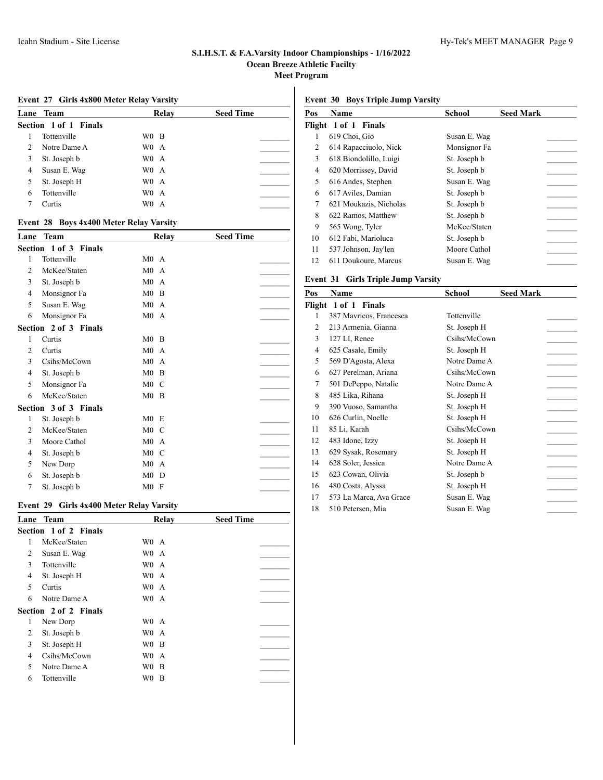**Event 27 Girls 4x800 Meter Relay Varsity**

|               | Lane Team                    | Relay            | <b>Seed Time</b> |
|---------------|------------------------------|------------------|------------------|
|               | <b>Section 1 of 1 Finals</b> |                  |                  |
|               | Tottenville                  | W0 B             |                  |
| $\mathcal{L}$ | Notre Dame A                 | W <sub>0</sub> A |                  |
| 3             | St. Joseph b                 | W <sub>0</sub> A |                  |
| 4             | Susan E. Wag                 | W <sub>0</sub> A |                  |
|               | St. Joseph H                 | W <sub>0</sub> A |                  |
| 6             | Tottenville                  | W <sub>0</sub> A |                  |
|               | Curtis                       | W0.<br>A         |                  |
|               |                              |                  |                  |

# **Event 28 Boys 4x400 Meter Relay Varsity**

| Lane | Team                  | Relay                            | <b>Seed Time</b> |
|------|-----------------------|----------------------------------|------------------|
|      | Section 1 of 3 Finals |                                  |                  |
| 1    | Tottenville           | M0A                              |                  |
| 2    | McKee/Staten          | M0A                              |                  |
| 3    | St. Joseph b          | M <sub>0</sub><br>$\overline{A}$ |                  |
| 4    | Monsignor Fa          | M <sub>0</sub><br>B              |                  |
| 5    | Susan E. Wag          | M0A                              |                  |
| 6    | Monsignor Fa          | M0A                              |                  |
|      | Section 2 of 3 Finals |                                  |                  |
| 1    | Curtis                | $M0$ B                           |                  |
| 2    | Curtis                | M0A                              |                  |
| 3    | Csihs/McCown          | M0A                              |                  |
| 4    | St. Joseph b          | M <sub>0</sub><br><sup>B</sup>   |                  |
| 5    | Monsignor Fa          | $M0$ C                           |                  |
| 6    | McKee/Staten          | $M0$ B                           |                  |
|      | Section 3 of 3 Finals |                                  |                  |
| 1    | St. Joseph b          | M0 E                             |                  |
| 2    | McKee/Staten          | $M0$ C                           |                  |
| 3    | Moore Cathol          | M0A                              |                  |
| 4    | St. Joseph b          | M <sub>0</sub><br>- C            |                  |
| 5    | New Dorp              | M <sub>0</sub><br>$\mathsf{A}$   |                  |
| 6    | St. Joseph b          | M <sub>0</sub><br>D              |                  |
| 7    | St. Joseph b          | M0 F                             |                  |

# **Event 29 Girls 4x400 Meter Relay Varsity**

| Lane | <b>Team</b>                  | Relay            | <b>Seed Time</b> |
|------|------------------------------|------------------|------------------|
|      | <b>Section 1 of 2 Finals</b> |                  |                  |
| 1    | McKee/Staten                 | W <sub>0</sub> A |                  |
| 2    | Susan E. Wag                 | W <sub>0</sub> A |                  |
| 3    | Tottenville                  | W <sub>0</sub> A |                  |
| 4    | St. Joseph H                 | W <sub>0</sub> A |                  |
| 5    | Curtis                       | W <sub>0</sub> A |                  |
| 6    | Notre Dame A                 | W <sub>0</sub> A |                  |
|      | <b>Section 2 of 2 Finals</b> |                  |                  |
| 1    | New Dorp                     | W <sub>0</sub> A |                  |
| 2    | St. Joseph b                 | W <sub>0</sub> A |                  |
| 3    | St. Joseph H                 | W <sub>0</sub> B |                  |
| 4    | Csihs/McCown                 | W0.<br>A         |                  |
| 5    | Notre Dame A                 | W <sub>0</sub> B |                  |
| 6    | Tottenville                  | WO B             |                  |

**Event 30 Boys Triple Jump Varsity**

| Pos    | <b>Name</b>            | School       | <b>Seed Mark</b> |
|--------|------------------------|--------------|------------------|
| Flight | 1 of 1 Finals          |              |                  |
| 1      | 619 Choi, Gio          | Susan E. Wag |                  |
| 2      | 614 Rapacciuolo, Nick  | Monsignor Fa |                  |
| 3      | 618 Biondolillo, Luigi | St. Joseph b |                  |
| 4      | 620 Morrissey, David   | St. Joseph b |                  |
| 5      | 616 Andes, Stephen     | Susan E. Wag |                  |
| 6      | 617 Aviles, Damian     | St. Joseph b |                  |
| 7      | 621 Moukazis, Nicholas | St. Joseph b |                  |
| 8      | 622 Ramos, Matthew     | St. Joseph b |                  |
| 9      | 565 Wong, Tyler        | McKee/Staten |                  |
| 10     | 612 Fabi, Marioluca    | St. Joseph b |                  |
| 11     | 537 Johnson, Jay'len   | Moore Cathol |                  |
| 12     | 611 Doukoure, Marcus   | Susan E. Wag |                  |

# **Event 31 Girls Triple Jump Varsity**

| Pos    | Name                    | <b>Seed Mark</b><br>School |  |
|--------|-------------------------|----------------------------|--|
| Flight | 1 of 1 Finals           |                            |  |
| 1      | 387 Mavricos, Francesca | Tottenville                |  |
| 2      | 213 Armenia, Gianna     | St. Joseph H               |  |
| 3      | 127 LI, Renee           | Csihs/McCown               |  |
| 4      | 625 Casale, Emily       | St. Joseph H               |  |
| 5      | 569 D'Agosta, Alexa     | Notre Dame A               |  |
| 6      | 627 Perelman, Ariana    | Csihs/McCown               |  |
| 7      | 501 DePeppo, Natalie    | Notre Dame A               |  |
| 8      | 485 Lika, Rihana        | St. Joseph H               |  |
| 9      | 390 Vuoso, Samantha     | St. Joseph H               |  |
| 10     | 626 Curlin, Noelle      | St. Joseph H               |  |
| 11     | 85 Li, Karah            | Csihs/McCown               |  |
| 12     | 483 Idone, Izzy         | St. Joseph H               |  |
| 13     | 629 Sysak, Rosemary     | St. Joseph H               |  |
| 14     | 628 Soler, Jessica      | Notre Dame A               |  |
| 15     | 623 Cowan, Olivia       | St. Joseph b               |  |
| 16     | 480 Costa, Alyssa       | St. Joseph H               |  |
| 17     | 573 La Marca, Ava Grace | Susan E. Wag               |  |
| 18     | 510 Petersen, Mia       | Susan E. Wag               |  |
|        |                         |                            |  |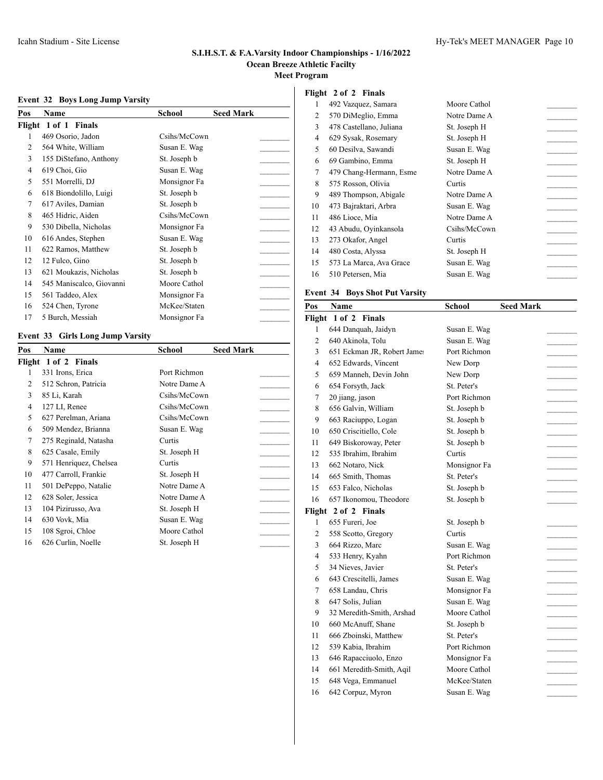# **Event 32 Boys Long Jump Varsity**

| Pos            | Name                     | School       | Seed Mark |  |
|----------------|--------------------------|--------------|-----------|--|
|                | Flight 1 of 1 Finals     |              |           |  |
| 1              | 469 Osorio, Jadon        | Csihs/McCown |           |  |
| $\overline{c}$ | 564 White, William       | Susan E. Wag |           |  |
| 3              | 155 DiStefano, Anthony   | St. Joseph b |           |  |
| 4              | 619 Choi, Gio            | Susan E. Wag |           |  |
| 5              | 551 Morrelli, DJ         | Monsignor Fa |           |  |
| 6              | 618 Biondolillo, Luigi   | St. Joseph b |           |  |
| 7              | 617 Aviles, Damian       | St. Joseph b |           |  |
| 8              | 465 Hidric, Aiden        | Csihs/McCown |           |  |
| 9              | 530 Dibella, Nicholas    | Monsignor Fa |           |  |
| 10             | 616 Andes, Stephen       | Susan E. Wag |           |  |
| 11             | 622 Ramos, Matthew       | St. Joseph b |           |  |
| 12             | 12 Fulco, Gino           | St. Joseph b |           |  |
| 13             | 621 Moukazis, Nicholas   | St. Joseph b |           |  |
| 14             | 545 Maniscalco, Giovanni | Moore Cathol |           |  |
| 15             | 561 Taddeo, Alex         | Monsignor Fa |           |  |
| 16             | 524 Chen, Tyrone         | McKee/Staten |           |  |
| 17             | 5 Burch, Messiah         | Monsignor Fa |           |  |

# **Event 33 Girls Long Jump Varsity**

| Pos | Name                   | School       | <b>Seed Mark</b> |  |
|-----|------------------------|--------------|------------------|--|
|     | Flight 1 of 2 Finals   |              |                  |  |
| 1   | 331 Irons, Erica       | Port Richmon |                  |  |
| 2   | 512 Schron, Patricia   | Notre Dame A |                  |  |
| 3   | 85 Li, Karah           | Csihs/McCown |                  |  |
| 4   | 127 LI, Renee          | Csihs/McCown |                  |  |
| 5   | 627 Perelman, Ariana   | Csihs/McCown |                  |  |
| 6   | 509 Mendez, Brianna    | Susan E. Wag |                  |  |
| 7   | 275 Reginald, Natasha  | Curtis       |                  |  |
| 8   | 625 Casale, Emily      | St. Joseph H |                  |  |
| 9   | 571 Henriquez, Chelsea | Curtis       |                  |  |
| 10  | 477 Carroll, Frankie   | St. Joseph H |                  |  |
| 11  | 501 DePeppo, Natalie   | Notre Dame A |                  |  |
| 12  | 628 Soler, Jessica     | Notre Dame A |                  |  |
| 13  | 104 Pizirusso, Ava     | St. Joseph H |                  |  |
| 14  | 630 Vovk, Mia          | Susan E. Wag |                  |  |
| 15  | 108 Sgroi, Chloe       | Moore Cathol |                  |  |
| 16  | 626 Curlin, Noelle     | St. Joseph H |                  |  |

# **Flight 2 of 2 Finals**

| 1  | 492 Vazquez, Samara     | Moore Cathol |  |
|----|-------------------------|--------------|--|
| 2  | 570 DiMeglio, Emma      | Notre Dame A |  |
| 3  | 478 Castellano, Juliana | St. Joseph H |  |
| 4  | 629 Sysak, Rosemary     | St. Joseph H |  |
| 5  | 60 Desilva, Sawandi     | Susan E. Wag |  |
| 6  | 69 Gambino, Emma        | St. Joseph H |  |
| 7  | 479 Chang-Hermann, Esme | Notre Dame A |  |
| 8  | 575 Rosson, Olivia      | Curtis       |  |
| 9  | 489 Thompson, Abigale   | Notre Dame A |  |
| 10 | 473 Bajraktari, Arbra   | Susan E. Wag |  |
| 11 | 486 Lioce, Mia          | Notre Dame A |  |
| 12 | 43 Abudu, Oyinkansola   | Csihs/McCown |  |
| 13 | 273 Okafor, Angel       | Curtis       |  |
| 14 | 480 Costa, Alyssa       | St. Joseph H |  |
| 15 | 573 La Marca, Ava Grace | Susan E. Wag |  |
| 16 | 510 Petersen, Mia       | Susan E. Wag |  |
|    |                         |              |  |

# **Event 34 Boys Shot Put Varsity**

| Pos            | Name                        | School       | <b>Seed Mark</b> |  |
|----------------|-----------------------------|--------------|------------------|--|
| Flight         | 1 of 2 Finals               |              |                  |  |
| 1              | 644 Danquah, Jaidyn         | Susan E. Wag |                  |  |
| $\overline{c}$ | 640 Akinola, Tolu           | Susan E. Wag |                  |  |
| 3              | 651 Eckman JR, Robert James | Port Richmon |                  |  |
| 4              | 652 Edwards, Vincent        | New Dorp     |                  |  |
| 5              | 659 Manneh, Devin John      | New Dorp     |                  |  |
| 6              | 654 Forsyth, Jack           | St. Peter's  |                  |  |
| 7              | 20 jiang, jason             | Port Richmon |                  |  |
| 8              | 656 Galvin, William         | St. Joseph b |                  |  |
| 9              | 663 Raciuppo, Logan         | St. Joseph b |                  |  |
| 10             | 650 Criscitiello, Cole      | St. Joseph b |                  |  |
| 11             | 649 Biskoroway, Peter       | St. Joseph b |                  |  |
| 12             | 535 Ibrahim, Ibrahim        | Curtis       |                  |  |
| 13             | 662 Notaro, Nick            | Monsignor Fa |                  |  |
| 14             | 665 Smith, Thomas           | St. Peter's  |                  |  |
| 15             | 653 Falco, Nicholas         | St. Joseph b |                  |  |
| 16             | 657 Ikonomou, Theodore      | St. Joseph b |                  |  |
| Flight         | 2 of 2 Finals               |              |                  |  |
| 1              | 655 Fureri, Joe             | St. Joseph b |                  |  |
| $\overline{2}$ | 558 Scotto, Gregory         | Curtis       |                  |  |
| 3              | 664 Rizzo, Marc             | Susan E. Wag |                  |  |
| 4              | 533 Henry, Kyahn            | Port Richmon |                  |  |
| 5              | 34 Nieves, Javier           | St. Peter's  |                  |  |
| 6              | 643 Crescitelli, James      | Susan E. Wag |                  |  |
| 7              | 658 Landau, Chris           | Monsignor Fa |                  |  |
| 8              | 647 Solis, Julian           | Susan E. Wag |                  |  |
| 9              | 32 Meredith-Smith, Arshad   | Moore Cathol |                  |  |
| 10             | 660 McAnuff, Shane          | St. Joseph b |                  |  |
| 11             | 666 Zboinski, Matthew       | St. Peter's  |                  |  |
| 12             | 539 Kabia, Ibrahim          | Port Richmon |                  |  |
| 13             | 646 Rapacciuolo, Enzo       | Monsignor Fa |                  |  |
| 14             | 661 Meredith-Smith, Aqil    | Moore Cathol |                  |  |
| 15             | 648 Vega, Emmanuel          | McKee/Staten |                  |  |
| 16             | 642 Corpuz, Myron           | Susan E. Wag |                  |  |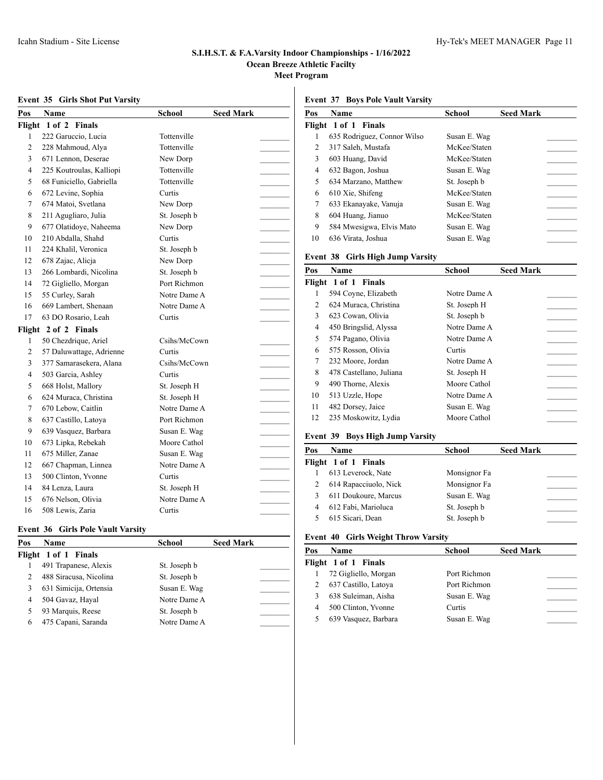# **Event 35 Girls Shot Put Varsity**

| Pos            | Name                        | <b>School</b> | <b>Seed Mark</b> |
|----------------|-----------------------------|---------------|------------------|
| Flight         | $1$ of $2$<br><b>Finals</b> |               |                  |
| 1              | 222 Garuccio, Lucia         | Tottenville   |                  |
| $\overline{c}$ | 228 Mahmoud, Alya           | Tottenville   |                  |
| 3              | 671 Lennon, Deserae         | New Dorp      |                  |
| 4              | 225 Koutroulas, Kalliopi    | Tottenville   |                  |
| 5              | 68 Funiciello, Gabriella    | Tottenville   |                  |
| 6              | 672 Levine, Sophia          | Curtis        |                  |
| 7              | 674 Matoi, Svetlana         | New Dorp      |                  |
| 8              | 211 Agugliaro, Julia        | St. Joseph b  |                  |
| 9              | 677 Olatidoye, Naheema      | New Dorp      |                  |
| 10             | 210 Abdalla, Shahd          | Curtis        |                  |
| 11             | 224 Khalil, Veronica        | St. Joseph b  |                  |
| 12             | 678 Zajac, Alicja           | New Dorp      |                  |
| 13             | 266 Lombardi, Nicolina      | St. Joseph b  |                  |
| 14             | 72 Gigliello, Morgan        | Port Richmon  |                  |
| 15             | 55 Curley, Sarah            | Notre Dame A  |                  |
| 16             | 669 Lambert, Shenaan        | Notre Dame A  |                  |
| 17             | 63 DO Rosario, Leah         | Curtis        |                  |
|                | Flight 2 of 2 Finals        |               |                  |
| 1              | 50 Chezdrique, Ariel        | Csihs/McCown  |                  |
| 2              | 57 Daluwattage, Adrienne    | Curtis        |                  |
| 3              | 377 Samarasekera, Alana     | Csihs/McCown  |                  |
| 4              | 503 Garcia, Ashley          | Curtis        |                  |
| 5              | 668 Holst, Mallory          | St. Joseph H  |                  |
| 6              | 624 Muraca, Christina       | St. Joseph H  |                  |
| 7              | 670 Lebow, Caitlin          | Notre Dame A  |                  |
| 8              | 637 Castillo, Latoya        | Port Richmon  |                  |
| 9              | 639 Vasquez, Barbara        | Susan E. Wag  |                  |
| 10             | 673 Lipka, Rebekah          | Moore Cathol  |                  |
| 11             | 675 Miller, Zanae           | Susan E. Wag  |                  |
| 12             | 667 Chapman, Linnea         | Notre Dame A  |                  |
| 13             | 500 Clinton, Yvonne         | Curtis        |                  |
| 14             | 84 Lenza, Laura             | St. Joseph H  |                  |
| 15             | 676 Nelson, Olivia          | Notre Dame A  |                  |
| 16             | 508 Lewis, Zaria            | Curtis        |                  |
|                |                             |               |                  |

# **Event 36 Girls Pole Vault Varsity**

| Pos | <b>Name</b>            | <b>School</b> | <b>Seed Mark</b> |
|-----|------------------------|---------------|------------------|
|     | Flight 1 of 1 Finals   |               |                  |
|     | 491 Trapanese, Alexis  | St. Joseph b  |                  |
|     | 488 Siracusa, Nicolina | St. Joseph b  |                  |
|     | 631 Simicija, Ortensia | Susan E. Wag  |                  |
| 4   | 504 Gavaz, Hayal       | Notre Dame A  |                  |
|     | 93 Marquis, Reese      | St. Joseph b  |                  |
| 6   | 475 Capani, Saranda    | Notre Dame A  |                  |

| Pos | Name                             | School       | <b>Seed Mark</b> |
|-----|----------------------------------|--------------|------------------|
|     | Flight 1 of 1 Finals             |              |                  |
| 1   | 635 Rodriguez, Connor Wilso      | Susan E. Wag |                  |
| 2   | 317 Saleh, Mustafa               | McKee/Staten |                  |
| 3   | 603 Huang, David                 | McKee/Staten |                  |
| 4   | 632 Bagon, Joshua                | Susan E. Wag |                  |
| 5   | 634 Marzano, Matthew             | St. Joseph b |                  |
| 6   | 610 Xie, Shifeng                 | McKee/Staten |                  |
| 7   | 633 Ekanayake, Vanuja            | Susan E. Wag |                  |
| 8   | 604 Huang, Jianuo                | McKee/Staten |                  |
| 9   | 584 Mwesigwa, Elvis Mato         | Susan E. Wag |                  |
| 10  | 636 Virata, Joshua               | Susan E. Wag |                  |
|     | Event 38 Girls High Jump Varsity |              |                  |
| Pos | Name                             | School       | <b>Seed Mark</b> |
|     | Flight 1 of 1 Finals             |              |                  |

|    | идис тог г гиммэ        |              |  |
|----|-------------------------|--------------|--|
| 1  | 594 Coyne, Elizabeth    | Notre Dame A |  |
| 2  | 624 Muraca, Christina   | St. Joseph H |  |
| 3  | 623 Cowan, Olivia       | St. Joseph b |  |
| 4  | 450 Bringslid, Alyssa   | Notre Dame A |  |
| 5  | 574 Pagano, Olivia      | Notre Dame A |  |
| 6  | 575 Rosson, Olivia      | Curtis       |  |
| 7  | 232 Moore, Jordan       | Notre Dame A |  |
| 8  | 478 Castellano, Juliana | St. Joseph H |  |
| 9  | 490 Thorne, Alexis      | Moore Cathol |  |
| 10 | 513 Uzzle, Hope         | Notre Dame A |  |
| 11 | 482 Dorsey, Jaice       | Susan E. Wag |  |
| 12 | 235 Moskowitz, Lydia    | Moore Cathol |  |
|    |                         |              |  |

#### **Event 39 Boys High Jump Varsity**

| Pos | <b>Name</b>           | School       | <b>Seed Mark</b> |
|-----|-----------------------|--------------|------------------|
|     | Flight 1 of 1 Finals  |              |                  |
|     | 613 Leverock, Nate    | Monsignor Fa |                  |
|     | 614 Rapacciuolo, Nick | Monsignor Fa |                  |
|     | 611 Doukoure, Marcus  | Susan E. Wag |                  |
|     | 612 Fabi, Marioluca   | St. Joseph b |                  |
|     | 615 Sicari, Dean      | St. Joseph b |                  |

# **Event 40 Girls Weight Throw Varsity**

| Pos | <b>Name</b>          | School       | <b>Seed Mark</b> |
|-----|----------------------|--------------|------------------|
|     | Flight 1 of 1 Finals |              |                  |
|     | 72 Gigliello, Morgan | Port Richmon |                  |
|     | 637 Castillo, Latoya | Port Richmon |                  |
| 3   | 638 Suleiman, Aisha  | Susan E. Wag |                  |
| 4   | 500 Clinton, Yvonne  | Curtis       |                  |
| 5   | 639 Vasquez, Barbara | Susan E. Wag |                  |